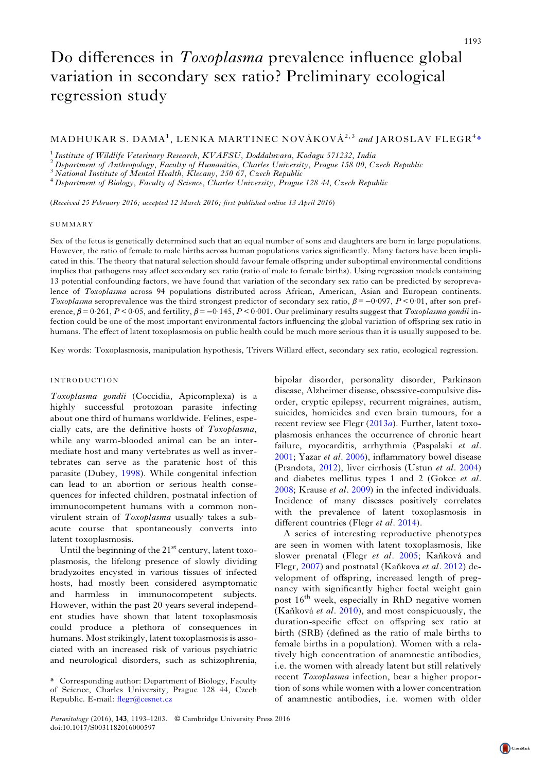# MADHUKAR S. DAMA<sup>1</sup>, LENKA MARTINEC NOVÁKOVÁ<sup>2,3</sup> and JAROSLAV FLEGR<sup>4</sup>\*

<sup>1</sup> Institute of Wildlife Veterinary Research, KVAFSU, Doddaluvara, Kodagu 571232, India<br><sup>2</sup> Department of Anthropology, Faculty of Humanities, Charles University, Prague 158 00, Czech Republic<br><sup>3</sup> National Institute of Me

(Received 25 February 2016; accepted 12 March 2016; first published online 13 April 2016)

### SUMMARY

Sex of the fetus is genetically determined such that an equal number of sons and daughters are born in large populations. However, the ratio of female to male births across human populations varies significantly. Many factors have been implicated in this. The theory that natural selection should favour female offspring under suboptimal environmental conditions implies that pathogens may affect secondary sex ratio (ratio of male to female births). Using regression models containing 13 potential confounding factors, we have found that variation of the secondary sex ratio can be predicted by seroprevalence of Toxoplasma across 94 populations distributed across African, American, Asian and European continents. Toxoplasma seroprevalence was the third strongest predictor of secondary sex ratio,  $\beta = -0.097$ ,  $P < 0.01$ , after son preference,  $\beta = 0.261$ ,  $P < 0.05$ , and fertility,  $\beta = -0.145$ ,  $P < 0.001$ . Our preliminary results suggest that *Toxoplasma gondii* infection could be one of the most important environmental factors influencing the global variation of offspring sex ratio in humans. The effect of latent toxoplasmosis on public health could be much more serious than it is usually supposed to be.

Key words: Toxoplasmosis, manipulation hypothesis, Trivers Willard effect, secondary sex ratio, ecological regression.

# INTRODUCTION

Toxoplasma gondii (Coccidia, Apicomplexa) is a highly successful protozoan parasite infecting about one third of humans worldwide. Felines, especially cats, are the definitive hosts of Toxoplasma, while any warm-blooded animal can be an intermediate host and many vertebrates as well as invertebrates can serve as the paratenic host of this parasite (Dubey, [1998](#page-9-0)). While congenital infection can lead to an abortion or serious health consequences for infected children, postnatal infection of immunocompetent humans with a common nonvirulent strain of Toxoplasma usually takes a subacute course that spontaneously converts into latent toxoplasmosis.

Until the beginning of the  $21<sup>st</sup>$  century, latent toxoplasmosis, the lifelong presence of slowly dividing bradyzoites encysted in various tissues of infected hosts, had mostly been considered asymptomatic and harmless in immunocompetent subjects. However, within the past 20 years several independent studies have shown that latent toxoplasmosis could produce a plethora of consequences in humans. Most strikingly, latent toxoplasmosis is associated with an increased risk of various psychiatric and neurological disorders, such as schizophrenia,

bipolar disorder, personality disorder, Parkinson disease, Alzheimer disease, obsessive-compulsive disorder, cryptic epilepsy, recurrent migraines, autism, suicides, homicides and even brain tumours, for a recent review see Flegr  $(2013a)$  $(2013a)$  $(2013a)$ . Further, latent toxoplasmosis enhances the occurrence of chronic heart failure, myocarditis, arrhythmia (Paspalaki et al. [2001;](#page-10-0) Yazar et al. [2006\)](#page-10-0), inflammatory bowel disease (Prandota, [2012](#page-10-0)), liver cirrhosis (Ustun et al. [2004\)](#page-10-0) and diabetes mellitus types 1 and 2 (Gokce et al. [2008;](#page-9-0) Krause et al. [2009\)](#page-10-0) in the infected individuals. Incidence of many diseases positively correlates with the prevalence of latent toxoplasmosis in different countries (Flegr *et al.* [2014](#page-9-0)).

A series of interesting reproductive phenotypes are seen in women with latent toxoplasmosis, like slower prenatal (Flegr et al. [2005](#page-9-0); Kaňková and Flegr, [2007](#page-9-0)) and postnatal (Kaňkova et al. [2012\)](#page-9-0) development of offspring, increased length of pregnancy with significantly higher foetal weight gain post  $16<sup>th</sup>$  week, especially in RhD negative women (Kaňková et al. [2010\)](#page-9-0), and most conspicuously, the duration-specific effect on offspring sex ratio at birth (SRB) (defined as the ratio of male births to female births in a population). Women with a relatively high concentration of anamnestic antibodies, i.e. the women with already latent but still relatively recent Toxoplasma infection, bear a higher proportion of sons while women with a lower concentration of anamnestic antibodies, i.e. women with older

<sup>\*</sup> Corresponding author: Department of Biology, Faculty of Science, Charles University, Prague 128 44, Czech Republic. E-mail: fl[egr@cesnet.cz](mailto:flegr@cesnet.cz)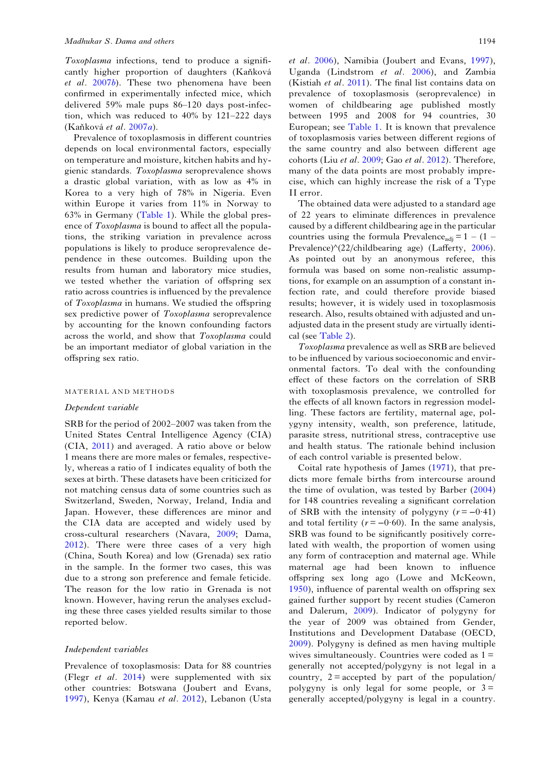Toxoplasma infections, tend to produce a significantly higher proportion of daughters (Kaňková et al. [2007](#page-9-0)b). These two phenomena have been confirmed in experimentally infected mice, which delivered 59% male pups 86–120 days post-infection, which was reduced to 40% by 121–222 days (Kaňková et al. [2007](#page-9-0)a).

Prevalence of toxoplasmosis in different countries depends on local environmental factors, especially on temperature and moisture, kitchen habits and hygienic standards. Toxoplasma seroprevalence shows a drastic global variation, with as low as 4% in Korea to a very high of 78% in Nigeria. Even within Europe it varies from 11% in Norway to 63% in Germany [\(Table 1\)](#page-2-0). While the global presence of Toxoplasma is bound to affect all the populations, the striking variation in prevalence across populations is likely to produce seroprevalence dependence in these outcomes. Building upon the results from human and laboratory mice studies, we tested whether the variation of offspring sex ratio across countries is influenced by the prevalence of Toxoplasma in humans. We studied the offspring sex predictive power of Toxoplasma seroprevalence by accounting for the known confounding factors across the world, and show that Toxoplasma could be an important mediator of global variation in the offspring sex ratio.

### MATERIAL AND METHODS

#### Dependent variable

SRB for the period of 2002–2007 was taken from the United States Central Intelligence Agency (CIA) (CIA, [2011\)](#page-9-0) and averaged. A ratio above or below 1 means there are more males or females, respectively, whereas a ratio of 1 indicates equality of both the sexes at birth. These datasets have been criticized for not matching census data of some countries such as Switzerland, Sweden, Norway, Ireland, India and Japan. However, these differences are minor and the CIA data are accepted and widely used by cross-cultural researchers (Navara, [2009;](#page-10-0) Dama, [2012](#page-9-0)). There were three cases of a very high (China, South Korea) and low (Grenada) sex ratio in the sample. In the former two cases, this was due to a strong son preference and female feticide. The reason for the low ratio in Grenada is not known. However, having rerun the analyses excluding these three cases yielded results similar to those reported below.

### Independent variables

Prevalence of toxoplasmosis: Data for 88 countries (Flegr et al. [2014\)](#page-9-0) were supplemented with six other countries: Botswana (Joubert and Evans, [1997](#page-9-0)), Kenya (Kamau et al. [2012](#page-9-0)), Lebanon (Usta et al. [2006\)](#page-10-0), Namibia (Joubert and Evans, [1997](#page-9-0)), Uganda (Lindstrom et al. [2006\)](#page-10-0), and Zambia (Kistiah et al. [2011\)](#page-9-0). The final list contains data on prevalence of toxoplasmosis (seroprevalence) in women of childbearing age published mostly between 1995 and 2008 for 94 countries, 30 European; see [Table 1.](#page-2-0) It is known that prevalence of toxoplasmosis varies between different regions of the same country and also between different age cohorts (Liu et al. [2009](#page-10-0); Gao et al. [2012\)](#page-9-0). Therefore, many of the data points are most probably imprecise, which can highly increase the risk of a Type II error.

The obtained data were adjusted to a standard age of 22 years to eliminate differences in prevalence caused by a different childbearing age in the particular countries using the formula Prevalence<sub>adi</sub> =  $1 - (1 -$ Prevalence)^(22/childbearing age) (Lafferty, [2006](#page-10-0)). As pointed out by an anonymous referee, this formula was based on some non-realistic assumptions, for example on an assumption of a constant infection rate, and could therefore provide biased results; however, it is widely used in toxoplasmosis research. Also, results obtained with adjusted and unadjusted data in the present study are virtually identical (see [Table 2\)](#page-4-0).

Toxoplasma prevalence as well as SRB are believed to be influenced by various socioeconomic and environmental factors. To deal with the confounding effect of these factors on the correlation of SRB with toxoplasmosis prevalence, we controlled for the effects of all known factors in regression modelling. These factors are fertility, maternal age, polygyny intensity, wealth, son preference, latitude, parasite stress, nutritional stress, contraceptive use and health status. The rationale behind inclusion of each control variable is presented below.

Coital rate hypothesis of James ([1971\)](#page-9-0), that predicts more female births from intercourse around the time of ovulation, was tested by Barber [\(2004](#page-9-0)) for 148 countries revealing a significant correlation of SRB with the intensity of polygyny  $(r = -0.41)$ and total fertility ( $r = -0.60$ ). In the same analysis, SRB was found to be significantly positively correlated with wealth, the proportion of women using any form of contraception and maternal age. While maternal age had been known to influence offspring sex long ago (Lowe and McKeown, [1950\)](#page-10-0), influence of parental wealth on offspring sex gained further support by recent studies (Cameron and Dalerum, [2009](#page-9-0)). Indicator of polygyny for the year of 2009 was obtained from Gender, Institutions and Development Database (OECD, [2009\)](#page-10-0). Polygyny is defined as men having multiple wives simultaneously. Countries were coded as  $1 =$ generally not accepted/polygyny is not legal in a country,  $2 =$  accepted by part of the population/ polygyny is only legal for some people, or  $3 =$ generally accepted/polygyny is legal in a country.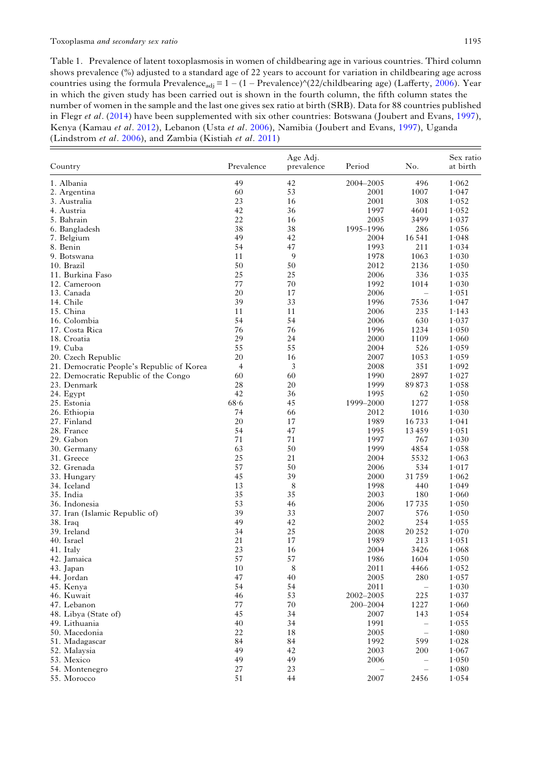<span id="page-2-0"></span>Table 1. Prevalence of latent toxoplasmosis in women of childbearing age in various countries. Third column shows prevalence (%) adjusted to a standard age of 22 years to account for variation in childbearing age across countries using the formula Prevalence<sub>adj</sub> =  $1 - (1 - \text{Prevalence})^{\wedge}(22/\text{childrening age})$  (Lafferty, [2006](#page-10-0)). Year in which the given study has been carried out is shown in the fourth column, the fifth column states the number of women in the sample and the last one gives sex ratio at birth (SRB). Data for 88 countries published in Flegr et al. [\(2014](#page-9-0)) have been supplemented with six other countries: Botswana (Joubert and Evans, [1997\)](#page-9-0), Kenya (Kamau et al. [2012](#page-9-0)), Lebanon (Usta et al. [2006\)](#page-10-0), Namibia (Joubert and Evans, [1997](#page-9-0)), Uganda (Lindstrom et al. [2006\)](#page-10-0), and Zambia (Kistiah et al. [2011\)](#page-9-0)

| Country                                   | Prevalence     | Age Adj.<br>prevalence | Period    | No.                           | Sex ratio<br>at birth |
|-------------------------------------------|----------------|------------------------|-----------|-------------------------------|-----------------------|
| 1. Albania                                | 49             | 42                     | 2004-2005 | 496                           | 1.062                 |
| 2. Argentina                              | 60             | 53                     | 2001      | 1007                          | 1.047                 |
| 3. Australia                              | 23             | 16                     | 2001      | 308                           | 1.052                 |
| 4. Austria                                | 42             | 36                     | 1997      | 4601                          | 1.052                 |
| 5. Bahrain                                | 22             | 16                     | 2005      | 3499                          | 1.037                 |
| 6. Bangladesh                             | 38             | 38                     | 1995-1996 | 286                           | 1.056                 |
| 7. Belgium                                | 49             | 42                     | 2004      | 16541                         | 1.048                 |
| 8. Benin                                  | 54             | 47                     | 1993      | 211                           | 1.034                 |
| 9. Botswana                               | 11             | 9                      | 1978      | 1063                          | 1.030                 |
| 10. Brazil                                | 50             | 50                     | 2012      | 2136                          | 1.050                 |
| 11. Burkina Faso                          | 25             | 25                     | 2006      | 336                           | 1.035                 |
| 12. Cameroon                              | 77             | 70                     | 1992      | 1014                          | 1.030                 |
| 13. Canada                                | 20             | 17                     | 2006      | $\overline{\phantom{0}}$      | 1.051                 |
| 14. Chile                                 | 39             | 33                     | 1996      | 7536                          | 1.047                 |
| 15. China                                 | 11             | 11                     | 2006      | 235                           | 1.143                 |
| 16. Colombia                              | 54             | 54                     | 2006      | 630                           | 1.037                 |
| 17. Costa Rica                            | 76             | 76                     | 1996      | 1234                          | 1.050                 |
| 18. Croatia                               | 29             | 24                     | 2000      | 1109                          | 1.060                 |
| 19. Cuba                                  | 55             | 55                     | 2004      | 526                           | 1.059                 |
| 20. Czech Republic                        | 20             | 16                     | 2007      | 1053                          | 1.059                 |
| 21. Democratic People's Republic of Korea | $\overline{4}$ | 3                      | 2008      | 351                           | 1.092                 |
| 22. Democratic Republic of the Congo      | 60             | 60                     | 1990      | 2897                          | 1.027                 |
| 23. Denmark                               | 28             | 20                     | 1999      | 89873                         | 1.058                 |
| 24. Egypt                                 | 42             | 36                     | 1995      | 62                            | 1.050                 |
| 25. Estonia                               | 68.6           | 45                     | 1999-2000 | 1277                          | 1.058                 |
| 26. Ethiopia                              | 74             | 66                     | 2012      | 1016                          | 1.030                 |
| 27. Finland                               | 20             | 17                     | 1989      | 16733                         | 1.041                 |
| 28. France                                | 54             | 47                     | 1995      | 13459                         | 1.051                 |
| 29. Gabon                                 | 71             | 71                     | 1997      | 767                           | 1.030                 |
| 30. Germany                               | 63             | 50                     | 1999      | 4854                          | 1.058                 |
| 31. Greece                                | 25             | 21                     | 2004      | 5532                          | 1.063                 |
| 32. Grenada                               | 57             | 50                     | 2006      | 534                           | 1.017                 |
| 33. Hungary                               | 45             | 39                     | 2000      | 31759                         | 1.062                 |
| 34. Iceland                               | 13             | 8                      | 1998      | 440                           | 1.049                 |
| 35. India                                 | 35             | 35                     | 2003      | 180                           | 1.060                 |
| 36. Indonesia                             | 53             | 46                     | 2006      | 17735                         | 1.050                 |
| 37. Iran (Islamic Republic of)            | 39             | 33                     | 2007      | 576                           | 1.050                 |
| 38. Iraq                                  | 49             | 42                     | 2002      | 254                           | 1.055                 |
| 39. Ireland                               | 34             | 25                     | 2008      | 20 25 2                       | 1.070                 |
| 40. Israel                                | 21             | 17                     | 1989      | 213                           | 1.051                 |
| 41. Italy                                 | 23             | 16                     | 2004      | 3426                          | 1.068                 |
| 42. Jamaica                               | 57             | 57                     | 1986      | 1604                          | 1.050                 |
| 43. Japan                                 | 10             | $8\,$                  | 2011      | 4466                          | 1.052                 |
| 44. Jordan                                | 47             | 40                     | 2005      | 280                           | 1.057                 |
| 45. Kenya                                 | 54             | 54<br>53               | 2011      | $\qquad \qquad -$             | 1.030                 |
| 46. Kuwait                                | 46<br>77       | 70                     | 2002-2005 | 225                           | 1.037                 |
| 47. Lebanon                               |                |                        | 200-2004  | 1227                          | 1.060                 |
| 48. Libya (State of)                      | 45             | 34                     | 2007      | 143                           | 1.054                 |
| 49. Lithuania<br>50. Macedonia            | 40<br>22       | 34<br>18               | 1991      | —<br>$\overline{\phantom{0}}$ | 1.055                 |
|                                           |                | 84                     | 2005      | 599                           | $1.080$               |
| 51. Madagascar                            | 84<br>49       | 42                     | 1992      |                               | 1.028                 |
| 52. Malaysia                              | 49             | 49                     | 2003      | 200                           | 1.067                 |
| 53. Mexico                                |                |                        | 2006      | $\overline{\phantom{0}}$      | 1.050                 |
| 54. Montenegro                            | 27<br>51       | 23<br>44               | 2007      | $\qquad \qquad -$<br>2456     | $1.080$<br>1.054      |
| 55. Morocco                               |                |                        |           |                               |                       |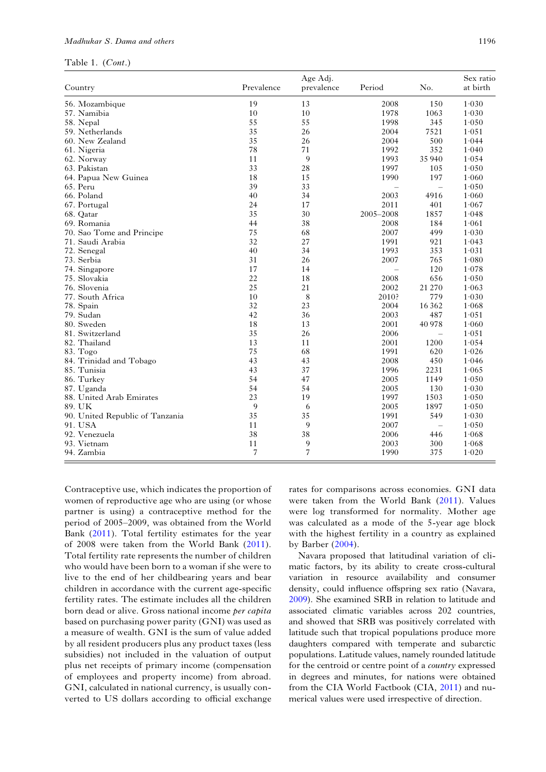### Madhukar S. Dama and others 1196

Table 1. (Cont.)

| Country                         | Prevalence | Age Adj.<br>prevalence | Period                   | No.                      | Sex ratio<br>at birth |
|---------------------------------|------------|------------------------|--------------------------|--------------------------|-----------------------|
| 56. Mozambique                  | 19         | 13                     | 2008                     | 150                      | 1.030                 |
| 57. Namibia                     | 10         | 10                     | 1978                     | 1063                     | 1.030                 |
| 58. Nepal                       | 55         | 55                     | 1998                     | 345                      | 1.050                 |
| 59. Netherlands                 | 35         | 26                     | 2004                     | 7521                     | 1.051                 |
| 60. New Zealand                 | 35         | 26                     | 2004                     | 500                      | 1.044                 |
| 61. Nigeria                     | 78         | 71                     | 1992                     | 352                      | 1.040                 |
| 62. Norway                      | 11         | 9                      | 1993                     | 35 940                   | 1.054                 |
| 63. Pakistan                    | 33         | 28                     | 1997                     | 105                      | 1.050                 |
| 64. Papua New Guinea            | 18         | 15                     | 1990                     | 197                      | 1.060                 |
| 65. Peru                        | 39         | 33                     |                          | $\overline{\phantom{0}}$ | 1.050                 |
| 66. Poland                      | 40         | 34                     | 2003                     | 4916                     | 1.060                 |
| 67. Portugal                    | 24         | 17                     | 2011                     | 401                      | 1.067                 |
| 68. Qatar                       | 35         | 30                     | 2005-2008                | 1857                     | 1.048                 |
| 69. Romania                     | 44         | 38                     | 2008                     | 184                      | 1.061                 |
| 70. Sao Tome and Principe       | 75         | 68                     | 2007                     | 499                      | 1.030                 |
| 71. Saudi Arabia                | 32         | 27                     | 1991                     | 921                      | 1.043                 |
| 72. Senegal                     | 40         | 34                     | 1993                     | 353                      | 1.031                 |
| 73. Serbia                      | 31         | 26                     | 2007                     | 765                      | 1.080                 |
| 74. Singapore                   | 17         | 14                     | $\overline{\phantom{0}}$ | 120                      | 1.078                 |
| 75. Slovakia                    | 22         | 18                     | 2008                     | 656                      | 1.050                 |
| 76. Slovenia                    | 25         | 21                     | 2002                     | 21 270                   | 1.063                 |
| 77. South Africa                | 10         | 8                      | 2010?                    | 779                      | 1.030                 |
| 78. Spain                       | 32         | 23                     | 2004                     | 16 3 6 2                 | 1.068                 |
| 79. Sudan                       | 42         | 36                     | 2003                     | 487                      | 1.051                 |
| 80. Sweden                      | 18         | 13                     | 2001                     | 40 978                   | 1.060                 |
| 81. Switzerland                 | 35         | 26                     | 2006                     | $\overline{\phantom{0}}$ | 1.051                 |
| 82. Thailand                    | 13         | 11                     | 2001                     | 1200                     | 1.054                 |
| 83. Togo                        | 75         | 68                     | 1991                     | 620                      | 1.026                 |
| 84. Trinidad and Tobago         | 43         | 43                     | 2008                     | 450                      | 1.046                 |
| 85. Tunisia                     | 43         | 37                     | 1996                     | 2231                     | 1.065                 |
| 86. Turkey                      | 54         | 47                     | 2005                     | 1149                     | 1.050                 |
| 87. Uganda                      | 54         | 54                     | 2005                     | 130                      | 1.030                 |
| 88. United Arab Emirates        | 23         | 19                     | 1997                     | 1503                     | 1.050                 |
| 89. UK                          | 9          | 6                      | 2005                     | 1897                     | 1.050                 |
| 90. United Republic of Tanzania | 35         | 35                     | 1991                     | 549                      | 1.030                 |
| 91. USA                         | 11         | 9                      | 2007                     | $\qquad \qquad -$        | 1.050                 |
| 92. Venezuela                   | 38         | 38                     | 2006                     | 446                      | 1.068                 |
| 93. Vietnam                     | 11         | 9                      | 2003                     | 300                      | 1.068                 |
| 94. Zambia                      | 7          | 7                      | 1990                     | 375                      | 1.020                 |

Contraceptive use, which indicates the proportion of women of reproductive age who are using (or whose partner is using) a contraceptive method for the period of 2005–2009, was obtained from the World Bank ([2011](#page-10-0)). Total fertility estimates for the year of 2008 were taken from the World Bank ([2011\)](#page-10-0). Total fertility rate represents the number of children who would have been born to a woman if she were to live to the end of her childbearing years and bear children in accordance with the current age-specific fertility rates. The estimate includes all the children born dead or alive. Gross national income per capita based on purchasing power parity (GNI) was used as a measure of wealth. GNI is the sum of value added by all resident producers plus any product taxes (less subsidies) not included in the valuation of output plus net receipts of primary income (compensation of employees and property income) from abroad. GNI, calculated in national currency, is usually converted to US dollars according to official exchange

rates for comparisons across economies. GNI data were taken from the World Bank ([2011\)](#page-10-0). Values were log transformed for normality. Mother age was calculated as a mode of the 5-year age block with the highest fertility in a country as explained by Barber ([2004\)](#page-9-0).

Navara proposed that latitudinal variation of climatic factors, by its ability to create cross-cultural variation in resource availability and consumer density, could influence offspring sex ratio (Navara, [2009](#page-10-0)). She examined SRB in relation to latitude and associated climatic variables across 202 countries, and showed that SRB was positively correlated with latitude such that tropical populations produce more daughters compared with temperate and subarctic populations. Latitude values, namely rounded latitude for the centroid or centre point of a country expressed in degrees and minutes, for nations were obtained from the CIA World Factbook (CIA, [2011\)](#page-9-0) and numerical values were used irrespective of direction.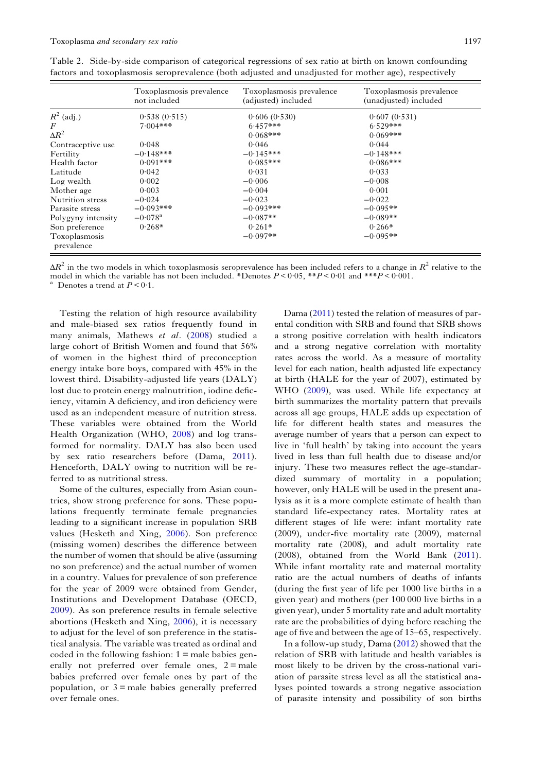|                             | Toxoplasmosis prevalence<br>not included | Toxoplasmosis prevalence<br>(adjusted) included | Toxoplasmosis prevalence<br>(unadjusted) included |  |  |
|-----------------------------|------------------------------------------|-------------------------------------------------|---------------------------------------------------|--|--|
| $R^2$ (adj.)                | 0.538(0.515)                             | 0.606(0.530)                                    | 0.607(0.531)                                      |  |  |
| $\bm{F}$                    | $7.004$ ***                              | $6.457***$                                      | $6.529***$                                        |  |  |
| $\Delta R^2$                |                                          | $0.068***$                                      | $0.069$ ***                                       |  |  |
| Contraceptive use           | 0.048                                    | 0.046                                           | 0.044                                             |  |  |
| Fertility                   | $-0.148$ ***                             | $-0.145***$                                     | $-0.148$ ***                                      |  |  |
| Health factor               | $0.091***$                               | $0.085***$                                      | $0.086***$                                        |  |  |
| Latitude                    | 0.042                                    | 0.031                                           | 0.033                                             |  |  |
| Log wealth                  | 0.002                                    | $-0.006$                                        | $-0.008$                                          |  |  |
| Mother age                  | 0.003                                    | $-0.004$                                        | 0.001                                             |  |  |
| Nutrition stress            | $-0.024$                                 | $-0.023$                                        | $-0.022$                                          |  |  |
| Parasite stress             | $-0.093***$                              | $-0.093***$                                     | $-0.095**$                                        |  |  |
| Polygyny intensity          | $-0.078$ <sup>a</sup>                    | $-0.087**$                                      | $-0.089**$                                        |  |  |
| Son preference              | $0.268*$                                 | $0.261*$                                        | $0.266*$                                          |  |  |
| Toxoplasmosis<br>prevalence |                                          | $-0.097**$                                      | $-0.095**$                                        |  |  |

<span id="page-4-0"></span>Table 2. Side-by-side comparison of categorical regressions of sex ratio at birth on known confounding factors and toxoplasmosis seroprevalence (both adjusted and unadjusted for mother age), respectively

 $\Delta R^2$  in the two models in which toxoplasmosis seroprevalence has been included refers to a change in  $R^2$  relative to the model in which the variable has not been included. \*Denotes  $P < 0.05$ , \*\* $P < 0.01$  and \*\*\* $P < 0.001$ .<br><sup>a</sup> Denotes a trend at  $P < 0.1$ .

Testing the relation of high resource availability and male-biased sex ratios frequently found in many animals, Mathews et al. [\(2008](#page-10-0)) studied a large cohort of British Women and found that 56% of women in the highest third of preconception energy intake bore boys, compared with 45% in the lowest third. Disability-adjusted life years (DALY) lost due to protein energy malnutrition, iodine deficiency, vitamin A deficiency, and iron deficiency were used as an independent measure of nutrition stress. These variables were obtained from the World Health Organization (WHO, [2008\)](#page-10-0) and log transformed for normality. DALY has also been used by sex ratio researchers before (Dama, [2011\)](#page-9-0). Henceforth, DALY owing to nutrition will be referred to as nutritional stress.

Some of the cultures, especially from Asian countries, show strong preference for sons. These populations frequently terminate female pregnancies leading to a significant increase in population SRB values (Hesketh and Xing, [2006\)](#page-9-0). Son preference (missing women) describes the difference between the number of women that should be alive (assuming no son preference) and the actual number of women in a country. Values for prevalence of son preference for the year of 2009 were obtained from Gender, Institutions and Development Database (OECD, [2009\)](#page-10-0). As son preference results in female selective abortions (Hesketh and Xing, [2006\)](#page-9-0), it is necessary to adjust for the level of son preference in the statistical analysis. The variable was treated as ordinal and coded in the following fashion:  $1 =$  male babies generally not preferred over female ones,  $2 =$ male babies preferred over female ones by part of the population, or  $3 =$  male babies generally preferred over female ones.

Dama ([2011](#page-9-0)) tested the relation of measures of parental condition with SRB and found that SRB shows a strong positive correlation with health indicators and a strong negative correlation with mortality rates across the world. As a measure of mortality level for each nation, health adjusted life expectancy at birth (HALE for the year of 2007), estimated by WHO ([2009\)](#page-10-0), was used. While life expectancy at birth summarizes the mortality pattern that prevails across all age groups, HALE adds up expectation of life for different health states and measures the average number of years that a person can expect to live in 'full health' by taking into account the years lived in less than full health due to disease and/or injury. These two measures reflect the age-standardized summary of mortality in a population; however, only HALE will be used in the present analysis as it is a more complete estimate of health than standard life-expectancy rates. Mortality rates at different stages of life were: infant mortality rate (2009), under-five mortality rate (2009), maternal mortality rate (2008), and adult mortality rate (2008), obtained from the World Bank [\(2011\)](#page-10-0). While infant mortality rate and maternal mortality ratio are the actual numbers of deaths of infants (during the first year of life per 1000 live births in a given year) and mothers (per 100 000 live births in a given year), under 5 mortality rate and adult mortality rate are the probabilities of dying before reaching the age of five and between the age of 15–65, respectively.

In a follow-up study, Dama [\(2012\)](#page-9-0) showed that the relation of SRB with latitude and health variables is most likely to be driven by the cross-national variation of parasite stress level as all the statistical analyses pointed towards a strong negative association of parasite intensity and possibility of son births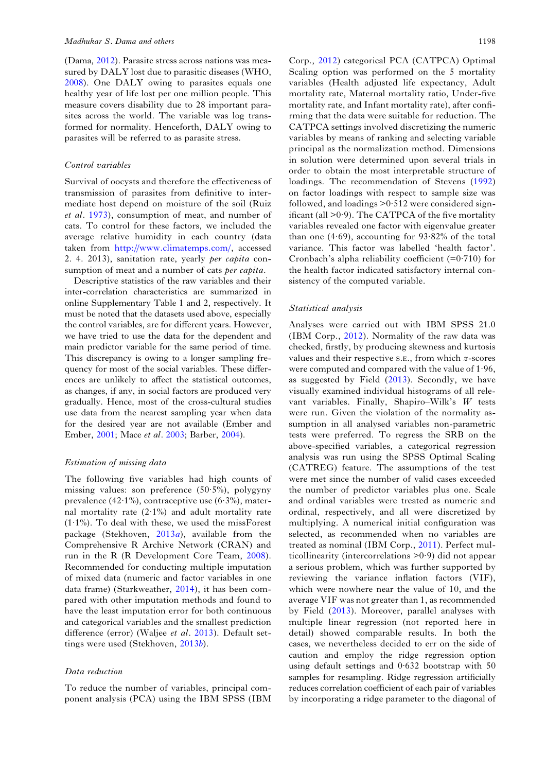(Dama, [2012](#page-9-0)). Parasite stress across nations was measured by DALY lost due to parasitic diseases (WHO, [2008\)](#page-10-0). One DALY owing to parasites equals one healthy year of life lost per one million people. This measure covers disability due to 28 important parasites across the world. The variable was log transformed for normality. Henceforth, DALY owing to parasites will be referred to as parasite stress.

# Control variables

Survival of oocysts and therefore the effectiveness of transmission of parasites from definitive to intermediate host depend on moisture of the soil (Ruiz et al. [1973\)](#page-10-0), consumption of meat, and number of cats. To control for these factors, we included the average relative humidity in each country (data taken from [http://www.climatemps.com/,](http://www.climatemps.com/) accessed 2. 4. 2013), sanitation rate, yearly per capita consumption of meat and a number of cats *per capita*.

Descriptive statistics of the raw variables and their inter-correlation characteristics are summarized in online Supplementary Table 1 and 2, respectively. It must be noted that the datasets used above, especially the control variables, are for different years. However, we have tried to use the data for the dependent and main predictor variable for the same period of time. This discrepancy is owing to a longer sampling frequency for most of the social variables. These differences are unlikely to affect the statistical outcomes, as changes, if any, in social factors are produced very gradually. Hence, most of the cross-cultural studies use data from the nearest sampling year when data for the desired year are not available (Ember and Ember, [2001](#page-9-0); Mace et al. [2003](#page-10-0); Barber, [2004](#page-9-0)).

### Estimation of missing data

The following five variables had high counts of missing values: son preference (50·5%), polygyny prevalence  $(42.1\%)$ , contraceptive use  $(6.3\%)$ , maternal mortality rate  $(2.1\%)$  and adult mortality rate (1·1%). To deal with these, we used the missForest package (Stekhoven,  $2013a$  $2013a$ ), available from the Comprehensive R Archive Network (CRAN) and run in the R (R Development Core Team, [2008\)](#page-10-0). Recommended for conducting multiple imputation of mixed data (numeric and factor variables in one data frame) (Starkweather, [2014](#page-10-0)), it has been compared with other imputation methods and found to have the least imputation error for both continuous and categorical variables and the smallest prediction difference (error) (Waljee et al. [2013\)](#page-10-0). Default settings were used (Stekhoven, [2013](#page-10-0)b).

# Data reduction

To reduce the number of variables, principal component analysis (PCA) using the IBM SPSS (IBM

Corp., [2012\)](#page-9-0) categorical PCA (CATPCA) Optimal Scaling option was performed on the 5 mortality variables (Health adjusted life expectancy, Adult mortality rate, Maternal mortality ratio, Under-five mortality rate, and Infant mortality rate), after confirming that the data were suitable for reduction. The CATPCA settings involved discretizing the numeric variables by means of ranking and selecting variable principal as the normalization method. Dimensions in solution were determined upon several trials in order to obtain the most interpretable structure of loadings. The recommendation of Stevens [\(1992](#page-10-0)) on factor loadings with respect to sample size was followed, and loadings  $>0.512$  were considered significant (all  $>0.9$ ). The CATPCA of the five mortality variables revealed one factor with eigenvalue greater than one  $(4.69)$ , accounting for  $93.82\%$  of the total variance. This factor was labelled 'health factor'. Cronbach's alpha reliability coefficient  $(=0.710)$  for the health factor indicated satisfactory internal consistency of the computed variable.

# Statistical analysis

Analyses were carried out with IBM SPSS 21.0 (IBM Corp., [2012\)](#page-9-0). Normality of the raw data was checked, firstly, by producing skewness and kurtosis values and their respective S.E., from which z-scores were computed and compared with the value of 1·96, as suggested by Field  $(2013)$  $(2013)$ . Secondly, we have visually examined individual histograms of all relevant variables. Finally, Shapiro–Wilk's W tests were run. Given the violation of the normality assumption in all analysed variables non-parametric tests were preferred. To regress the SRB on the above-specified variables, a categorical regression analysis was run using the SPSS Optimal Scaling (CATREG) feature. The assumptions of the test were met since the number of valid cases exceeded the number of predictor variables plus one. Scale and ordinal variables were treated as numeric and ordinal, respectively, and all were discretized by multiplying. A numerical initial configuration was selected, as recommended when no variables are treated as nominal (IBM Corp., [2011\)](#page-9-0). Perfect multicollinearity (intercorrelations  $>0.9$ ) did not appear a serious problem, which was further supported by reviewing the variance inflation factors (VIF), which were nowhere near the value of 10, and the average VIF was not greater than 1, as recommended by Field ([2013\)](#page-9-0). Moreover, parallel analyses with multiple linear regression (not reported here in detail) showed comparable results. In both the cases, we nevertheless decided to err on the side of caution and employ the ridge regression option using default settings and 0·632 bootstrap with 50 samples for resampling. Ridge regression artificially reduces correlation coefficient of each pair of variables by incorporating a ridge parameter to the diagonal of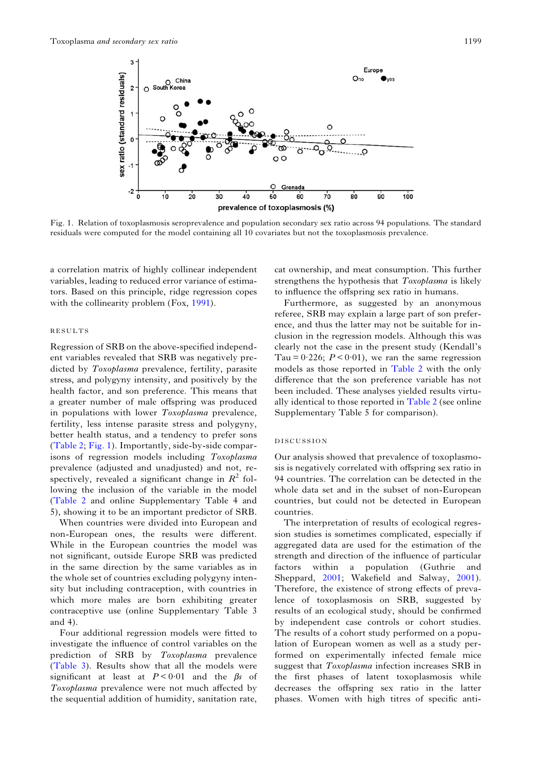

Fig. 1. Relation of toxoplasmosis seroprevalence and population secondary sex ratio across 94 populations. The standard residuals were computed for the model containing all 10 covariates but not the toxoplasmosis prevalence.

a correlation matrix of highly collinear independent variables, leading to reduced error variance of estimators. Based on this principle, ridge regression copes with the collinearity problem (Fox, [1991](#page-9-0)).

### RESULTS

Regression of SRB on the above-specified independent variables revealed that SRB was negatively predicted by Toxoplasma prevalence, fertility, parasite stress, and polygyny intensity, and positively by the health factor, and son preference. This means that a greater number of male offspring was produced in populations with lower Toxoplasma prevalence, fertility, less intense parasite stress and polygyny, better health status, and a tendency to prefer sons [\(Table 2](#page-4-0); Fig. 1). Importantly, side-by-side comparisons of regression models including Toxoplasma prevalence (adjusted and unadjusted) and not, respectively, revealed a significant change in  $R^2$  following the inclusion of the variable in the model [\(Table 2](#page-4-0) and online Supplementary Table 4 and 5), showing it to be an important predictor of SRB.

When countries were divided into European and non-European ones, the results were different. While in the European countries the model was not significant, outside Europe SRB was predicted in the same direction by the same variables as in the whole set of countries excluding polygyny intensity but including contraception, with countries in which more males are born exhibiting greater contraceptive use (online Supplementary Table 3 and 4).

Four additional regression models were fitted to investigate the influence of control variables on the prediction of SRB by Toxoplasma prevalence [\(Table 3\)](#page-7-0). Results show that all the models were significant at least at  $P < 0.01$  and the  $\beta s$  of Toxoplasma prevalence were not much affected by the sequential addition of humidity, sanitation rate,

cat ownership, and meat consumption. This further strengthens the hypothesis that Toxoplasma is likely to influence the offspring sex ratio in humans.

Furthermore, as suggested by an anonymous referee, SRB may explain a large part of son preference, and thus the latter may not be suitable for inclusion in the regression models. Although this was clearly not the case in the present study (Kendall's Tau =  $0.226$ ;  $P < 0.01$ ), we ran the same regression models as those reported in [Table 2](#page-4-0) with the only difference that the son preference variable has not been included. These analyses yielded results virtually identical to those reported in [Table 2](#page-4-0) (see online Supplementary Table 5 for comparison).

### DISCUSSION

Our analysis showed that prevalence of toxoplasmosis is negatively correlated with offspring sex ratio in 94 countries. The correlation can be detected in the whole data set and in the subset of non-European countries, but could not be detected in European countries.

The interpretation of results of ecological regression studies is sometimes complicated, especially if aggregated data are used for the estimation of the strength and direction of the influence of particular factors within a population (Guthrie and Sheppard, [2001;](#page-9-0) Wakefield and Salway, [2001\)](#page-10-0). Therefore, the existence of strong effects of prevalence of toxoplasmosis on SRB, suggested by results of an ecological study, should be confirmed by independent case controls or cohort studies. The results of a cohort study performed on a population of European women as well as a study performed on experimentally infected female mice suggest that Toxoplasma infection increases SRB in the first phases of latent toxoplasmosis while decreases the offspring sex ratio in the latter phases. Women with high titres of specific anti-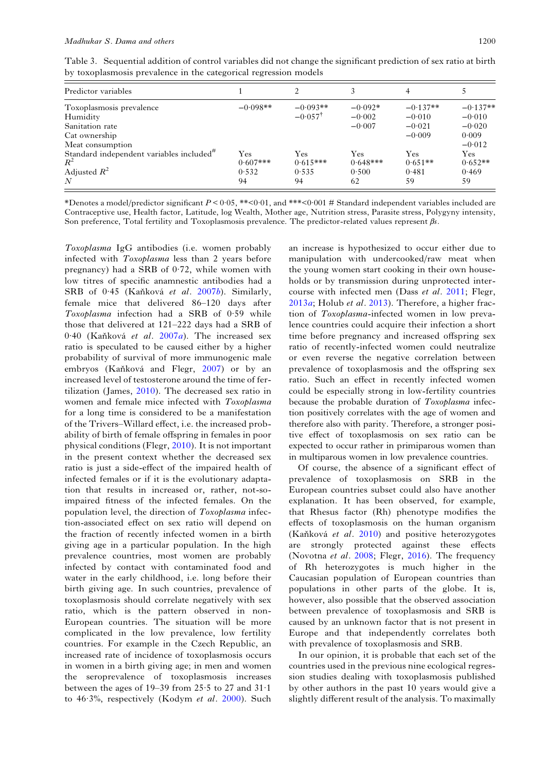<span id="page-7-0"></span>Table 3. Sequential addition of control variables did not change the significant prediction of sex ratio at birth by toxoplasmosis prevalence in the categorical regression models

| Predictor variables                                               |             |                    |            | 4          |            |
|-------------------------------------------------------------------|-------------|--------------------|------------|------------|------------|
| Toxoplasmosis prevalence                                          | $-0.098**$  | $-0.093**$         | $-0.092*$  | $-0.137**$ | $-0.137**$ |
| Humidity                                                          |             | $-0.057^{\dagger}$ | $-0.002$   | $-0.010$   | $-0.010$   |
| Sanitation rate                                                   |             |                    | $-0.007$   | $-0.021$   | $-0.020$   |
| Cat ownership                                                     |             |                    |            | $-0.009$   | 0.009      |
| Meat consumption                                                  |             |                    |            |            | $-0.012$   |
| Standard independent variables included <sup><math>#</math></sup> | Yes         | Yes                | Yes        | Yes        | Yes        |
| $R^2$                                                             | $0.607$ *** | $0.615***$         | $0.648***$ | $0.651**$  | $0.652**$  |
| Adjusted $R^2$                                                    | 0.532       | 0.535              | 0.500      | 0.481      | 0.469      |
| N                                                                 | 94          | 94                 | 62         | 59         | 59         |

\*Denotes a model/predictor significant  $P < 0.05$ , \*\* $< 0.01$ , and \*\*\* $< 0.001$  # Standard independent variables included are Contraceptive use, Health factor, Latitude, log Wealth, Mother age, Nutrition stress, Parasite stress, Polygyny intensity, Son preference, Total fertility and Toxoplasmosis prevalence. The predictor-related values represent βs.

Toxoplasma IgG antibodies (i.e. women probably infected with Toxoplasma less than 2 years before pregnancy) had a SRB of  $0.72$ , while women with low titres of specific anamnestic antibodies had a SRB of 0·45 (Kaňková et al. [2007](#page-9-0)b). Similarly, female mice that delivered 86–120 days after Toxoplasma infection had a SRB of 0.59 while those that delivered at 121–222 days had a SRB of 0.40 (Kaňková et al. [2007](#page-9-0)a). The increased sex ratio is speculated to be caused either by a higher probability of survival of more immunogenic male embryos (Kaňková and Flegr, [2007](#page-9-0)) or by an increased level of testosterone around the time of fertilization (James, [2010](#page-9-0)). The decreased sex ratio in women and female mice infected with Toxoplasma for a long time is considered to be a manifestation of the Trivers–Willard effect, i.e. the increased probability of birth of female offspring in females in poor physical conditions (Flegr, [2010](#page-9-0)). It is not important in the present context whether the decreased sex ratio is just a side-effect of the impaired health of infected females or if it is the evolutionary adaptation that results in increased or, rather, not-soimpaired fitness of the infected females. On the population level, the direction of Toxoplasma infection-associated effect on sex ratio will depend on the fraction of recently infected women in a birth giving age in a particular population. In the high prevalence countries, most women are probably infected by contact with contaminated food and water in the early childhood, i.e. long before their birth giving age. In such countries, prevalence of toxoplasmosis should correlate negatively with sex ratio, which is the pattern observed in non-European countries. The situation will be more complicated in the low prevalence, low fertility countries. For example in the Czech Republic, an increased rate of incidence of toxoplasmosis occurs in women in a birth giving age; in men and women the seroprevalence of toxoplasmosis increases between the ages of 19–39 from 25·5 to 27 and 31·1 to 46·3%, respectively (Kodym et al. [2000\)](#page-10-0). Such

an increase is hypothesized to occur either due to manipulation with undercooked/raw meat when the young women start cooking in their own households or by transmission during unprotected intercourse with infected men (Dass et al. [2011](#page-9-0); Flegr,  $2013a$  $2013a$ ; Holub *et al.* 2013). Therefore, a higher fraction of Toxoplasma-infected women in low prevalence countries could acquire their infection a short time before pregnancy and increased offspring sex ratio of recently-infected women could neutralize or even reverse the negative correlation between prevalence of toxoplasmosis and the offspring sex ratio. Such an effect in recently infected women could be especially strong in low-fertility countries because the probable duration of Toxoplasma infection positively correlates with the age of women and therefore also with parity. Therefore, a stronger positive effect of toxoplasmosis on sex ratio can be expected to occur rather in primiparous women than in multiparous women in low prevalence countries.

Of course, the absence of a significant effect of prevalence of toxoplasmosis on SRB in the European countries subset could also have another explanation. It has been observed, for example, that Rhesus factor (Rh) phenotype modifies the effects of toxoplasmosis on the human organism (Kaňková et al. [2010](#page-9-0)) and positive heterozygotes are strongly protected against these effects (Novotna et al. [2008](#page-10-0); Flegr, [2016](#page-9-0)). The frequency of Rh heterozygotes is much higher in the Caucasian population of European countries than populations in other parts of the globe. It is, however, also possible that the observed association between prevalence of toxoplasmosis and SRB is caused by an unknown factor that is not present in Europe and that independently correlates both with prevalence of toxoplasmosis and SRB.

In our opinion, it is probable that each set of the countries used in the previous nine ecological regression studies dealing with toxoplasmosis published by other authors in the past 10 years would give a slightly different result of the analysis. To maximally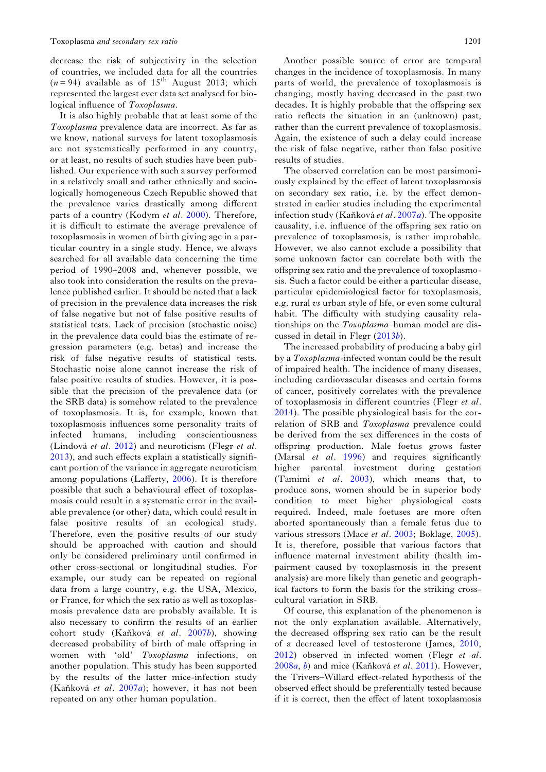decrease the risk of subjectivity in the selection of countries, we included data for all the countries  $(n = 94)$  available as of 15<sup>th</sup> August 2013; which represented the largest ever data set analysed for biological influence of Toxoplasma.

It is also highly probable that at least some of the Toxoplasma prevalence data are incorrect. As far as we know, national surveys for latent toxoplasmosis are not systematically performed in any country, or at least, no results of such studies have been published. Our experience with such a survey performed in a relatively small and rather ethnically and sociologically homogeneous Czech Republic showed that the prevalence varies drastically among different parts of a country (Kodym et al. [2000\)](#page-10-0). Therefore, it is difficult to estimate the average prevalence of toxoplasmosis in women of birth giving age in a particular country in a single study. Hence, we always searched for all available data concerning the time period of 1990–2008 and, whenever possible, we also took into consideration the results on the prevalence published earlier. It should be noted that a lack of precision in the prevalence data increases the risk of false negative but not of false positive results of statistical tests. Lack of precision (stochastic noise) in the prevalence data could bias the estimate of regression parameters (e.g. betas) and increase the risk of false negative results of statistical tests. Stochastic noise alone cannot increase the risk of false positive results of studies. However, it is possible that the precision of the prevalence data (or the SRB data) is somehow related to the prevalence of toxoplasmosis. It is, for example, known that toxoplasmosis influences some personality traits of infected humans, including conscientiousness (Lindová et al. [2012](#page-10-0)) and neuroticism (Flegr et al. [2013\)](#page-9-0), and such effects explain a statistically significant portion of the variance in aggregate neuroticism among populations (Lafferty, [2006\)](#page-10-0). It is therefore possible that such a behavioural effect of toxoplasmosis could result in a systematic error in the available prevalence (or other) data, which could result in false positive results of an ecological study. Therefore, even the positive results of our study should be approached with caution and should only be considered preliminary until confirmed in other cross-sectional or longitudinal studies. For example, our study can be repeated on regional data from a large country, e.g. the USA, Mexico, or France, for which the sex ratio as well as toxoplasmosis prevalence data are probably available. It is also necessary to confirm the results of an earlier cohort study (Kaňková et al. [2007](#page-9-0)b), showing decreased probability of birth of male offspring in women with 'old' Toxoplasma infections, on another population. This study has been supported by the results of the latter mice-infection study (Kaňková et al. [2007](#page-9-0)a); however, it has not been repeated on any other human population.

Another possible source of error are temporal changes in the incidence of toxoplasmosis. In many parts of world, the prevalence of toxoplasmosis is changing, mostly having decreased in the past two decades. It is highly probable that the offspring sex ratio reflects the situation in an (unknown) past, rather than the current prevalence of toxoplasmosis. Again, the existence of such a delay could increase the risk of false negative, rather than false positive results of studies.

The observed correlation can be most parsimoniously explained by the effect of latent toxoplasmosis on secondary sex ratio, i.e. by the effect demonstrated in earlier studies including the experimental infection study (Kaňková et al. [2007](#page-9-0)a). The opposite causality, i.e. influence of the offspring sex ratio on prevalence of toxoplasmosis, is rather improbable. However, we also cannot exclude a possibility that some unknown factor can correlate both with the offspring sex ratio and the prevalence of toxoplasmosis. Such a factor could be either a particular disease, particular epidemiological factor for toxoplasmosis, e.g. rural vs urban style of life, or even some cultural habit. The difficulty with studying causality relationships on the Toxoplasma–human model are discussed in detail in Flegr ([2013](#page-9-0)b).

The increased probability of producing a baby girl by a Toxoplasma-infected woman could be the result of impaired health. The incidence of many diseases, including cardiovascular diseases and certain forms of cancer, positively correlates with the prevalence of toxoplasmosis in different countries (Flegr et al. [2014](#page-9-0)). The possible physiological basis for the correlation of SRB and Toxoplasma prevalence could be derived from the sex differences in the costs of offspring production. Male foetus grows faster (Marsal et al. [1996\)](#page-10-0) and requires significantly higher parental investment during gestation (Tamimi et al.  $2003$ ), which means that, to produce sons, women should be in superior body condition to meet higher physiological costs required. Indeed, male foetuses are more often aborted spontaneously than a female fetus due to various stressors (Mace et al. [2003;](#page-10-0) Boklage, [2005\)](#page-9-0). It is, therefore, possible that various factors that influence maternal investment ability (health impairment caused by toxoplasmosis in the present analysis) are more likely than genetic and geographical factors to form the basis for the striking crosscultural variation in SRB.

Of course, this explanation of the phenomenon is not the only explanation available. Alternatively, the decreased offspring sex ratio can be the result of a decreased level of testosterone (James, [2010](#page-9-0), [2012](#page-9-0)) observed in infected women (Flegr et al. [2008](#page-9-0)a, [b](#page-9-0)) and mice (Kaňková et al. [2011\)](#page-9-0). However, the Trivers–Willard effect-related hypothesis of the observed effect should be preferentially tested because if it is correct, then the effect of latent toxoplasmosis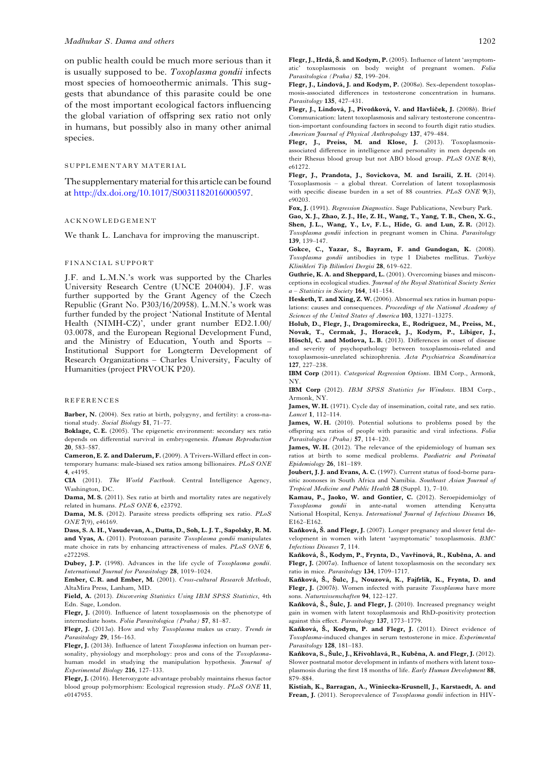<span id="page-9-0"></span>on public health could be much more serious than it is usually supposed to be. Toxoplasma gondii infects most species of homoeothermic animals. This suggests that abundance of this parasite could be one of the most important ecological factors influencing the global variation of offspring sex ratio not only in humans, but possibly also in many other animal species.

# SUPPLEMENTARY MATERIAL

The supplementary material for this article can be found at <http://dx.doi.org/10.1017/S0031182016000597>.

#### ACKNOWLEDGEMENT

We thank L. Lanchava for improving the manuscript.

#### FINANCIAL SUPPORT

J.F. and L.M.N.'s work was supported by the Charles University Research Centre (UNCE 204004). J.F. was further supported by the Grant Agency of the Czech Republic (Grant No. P303/16/20958). L.M.N.'s work was further funded by the project 'National Institute of Mental Health (NIMH-CZ)', under grant number ED2.1.00/ 03.0078, and the European Regional Development Fund, and the Ministry of Education, Youth and Sports – Institutional Support for Longterm Development of Research Organizations – Charles University, Faculty of Humanities (project PRVOUK P20).

### REFERENCES

Barber, N. (2004). Sex ratio at birth, polygyny, and fertility: a cross-national study. Social Biology 51, 71–77.

Boklage, C. E. (2005). The epigenetic environment: secondary sex ratio depends on differential survival in embryogenesis. Human Reproduction 20, 583–587.

Cameron, E. Z. and Dalerum, F. (2009). A Trivers-Willard effect in contemporary humans: male-biased sex ratios among billionaires. PLoS ONE 4, e4195.

CIA (2011). The World Factbook. Central Intelligence Agency, Washington, DC.

Dama, M. S. (2011). Sex ratio at birth and mortality rates are negatively related in humans. PLoS ONE 6, e23792.

Dama, M.S. (2012). Parasite stress predicts offspring sex ratio. PLoS ONE 7(9), e46169.

Dass, S. A. H., Vasudevan, A., Dutta, D., Soh, L. J. T., Sapolsky, R. M. and Vyas, A. (2011). Protozoan parasite Toxoplasma gondii manipulates mate choice in rats by enhancing attractiveness of males. PLoS ONE 6, e27229S.

Dubey, J.P. (1998). Advances in the life cycle of Toxoplasma gondii. International Journal for Parasitology 28, 1019–1024.

Ember, C. R. and Ember, M. (2001). Cross-cultural Research Methods, AltaMira Press, Lanham, MD.

Field, A. (2013). Discovering Statistics Using IBM SPSS Statistics, 4th Edn. Sage, London.

Flegr, J. (2010). Influence of latent toxoplasmosis on the phenotype of intermediate hosts. Folia Parasitologica (Praha) 57, 81–87.

Flegr, J. (2013a). How and why Toxoplasma makes us crazy. Trends in Parasitology 29, 156-163.

Flegr, J. (2013b). Influence of latent Toxoplasma infection on human personality, physiology and morphology: pros and cons of the Toxoplasmahuman model in studying the manipulation hypothesis. *Journal of* Experimental Biology 216, 127–133.

Flegr, J. (2016). Heterozygote advantage probably maintains rhesus factor blood group polymorphism: Ecological regression study. PLoS ONE 11, e0147955.

Flegr, J., Lindová, J. and Kodym, P. (2008a). Sex-dependent toxoplasmosis-associated differences in testosterone concentration in humans. Parasitology 135, 427–431.

Flegr, J., Lindová, J., Pivoňková, V. and Havlíček, J. (2008b). Brief Communication: latent toxoplasmosis and salivary testosterone concentration-important confounding factors in second to fourth digit ratio studies. American Journal of Physical Anthropology 137, 479–484.

Flegr, J., Preiss, M. and Klose, J. (2013). Toxoplasmosisassociated difference in intelligence and personality in men depends on their Rhesus blood group but not ABO blood group. PLoS ONE 8(4), e61272.

Flegr, J., Prandota, J., Sovickova, M. and Israili, Z. H. (2014). Toxoplasmosis – a global threat. Correlation of latent toxoplasmosis with specific disease burden in a set of 88 countries. PLoS ONE 9(3), e90203.

Fox, J. (1991). Regression Diagnostics. Sage Publications, Newbury Park. Gao, X. J., Zhao, Z. J., He, Z. H., Wang, T., Yang, T. B., Chen, X. G.,

Shen, J. L., Wang, Y., Lv, F. L., Hide, G. and Lun, Z. R. (2012). Toxoplasma gondii infection in pregnant women in China. Parasitology 139, 139–147.

Gokce, C., Yazar, S., Bayram, F. and Gundogan, K. (2008). Toxoplasma gondii antibodies in type 1 Diabetes mellitus. Turkiye Klinikleri Tip Bilimleri Dergisi 28, 619–622.

Guthrie, K. A. and Sheppard, L. (2001). Overcoming biases and misconceptions in ecological studies. Journal of the Royal Statistical Society Series a – Statistics in Society 164, 141–154.

Hesketh, T. and Xing, Z. W. (2006). Abnormal sex ratios in human populations: causes and consequences. Proceedings of the National Academy of Sciences of the United States of America 103, 13271–13275.

Holub, D., Flegr, J., Dragomirecka, E., Rodriguez, M., Preiss, M., Novak, T., Cermak, J., Horacek, J., Kodym, P., Libiger, J., Höschl, C. and Motlova, L. B. (2013). Differences in onset of disease and severity of psychopathology between toxoplasmosis-related and toxoplasmosis-unrelated schizophrenia. Acta Psychiatrica Scandinavica 127, 227–238.

IBM Corp (2011). Categorical Regression Options. IBM Corp., Armonk, NY.

IBM Corp (2012). IBM SPSS Statistics for Windows. IBM Corp., Armonk, NY.

James, W. H. (1971). Cycle day of insemination, coital rate, and sex ratio. Lancet 1, 112–114.

James, W. H. (2010). Potential solutions to problems posed by the offspring sex ratios of people with parasitic and viral infections. Folia Parasitologica (Praha) 57, 114-120.

James, W. H. (2012). The relevance of the epidemiology of human sex ratios at birth to some medical problems. Paediatric and Perinatal Epidemiology 26, 181–189.

Joubert, J. J. and Evans, A. C. (1997). Current status of food-borne parasitic zoonoses in South Africa and Namibia. Southeast Asian Journal of Tropical Medicine and Public Health 28 (Suppl. 1), 7–10.

Kamau, P., Jaoko, W. and Gontier, C. (2012). Seroepidemiolgy of Toxoplasma gondii in ante-natal women attending Kenyatta National Hospital, Kenya. International Journal of Infectious Diseases 16, E162–E162.

Kaňková, Š. and Flegr, J. (2007). Longer pregnancy and slower fetal development in women with latent 'asymptomatic' toxoplasmosis. BMC Infectious Diseases 7, 114.

Kaňková, Š., Kodym, P., Frynta, D., Vavřinová, R., Kuběna, A. and Flegr, J. (2007a). Influence of latent toxoplasmosis on the secondary sex ratio in mice. Parasitology 134, 1709–1717.

Kaňková, Š., Šulc, J., Nouzová, K., Fajfrlik, K., Frynta, D. and Flegr, J. (2007b). Women infected with parasite Toxoplasma have more sons. Naturwissenschaften 94, 122-127.

Kaňková, Š., Šulc, J. and Flegr, J. (2010). Increased pregnancy weight gain in women with latent toxoplasmosis and RhD-positivity protection against this effect. Parasitology 137, 1773–1779.

Kaňková, Š., Kodym, P. and Flegr, J. (2011). Direct evidence of Toxoplasma-induced changes in serum testosterone in mice. Experimental Parasitology 128, 181-183.

Kaňkova, S., Šulc, J., Křivohlavá, R., Kuběna, A. and Flegr, J. (2012). Slower postnatal motor development in infants of mothers with latent toxoplasmosis during the first 18 months of life. Early Human Development 88, 879–884.

Kistiah, K., Barragan, A., Winiecka-Krusnell, J., Karstaedt, A. and Frean, I. (2011). Seroprevalence of Toxoplasma gondii infection in HIV-